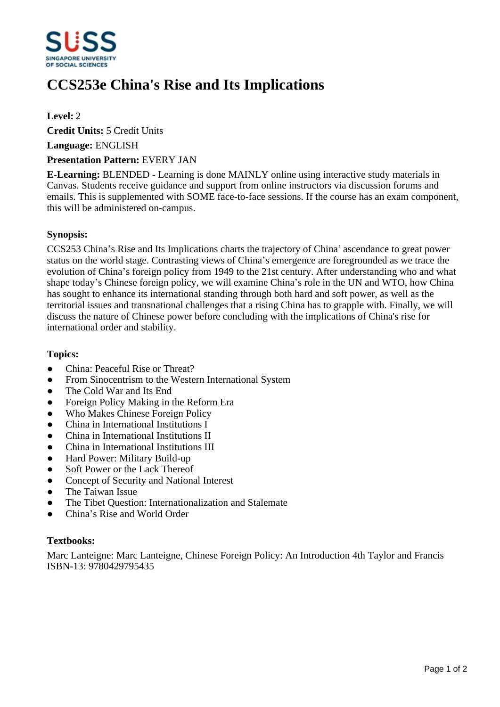

# **CCS253e China's Rise and Its Implications**

### **Level:** 2

**Credit Units:** 5 Credit Units

**Language:** ENGLISH

#### **Presentation Pattern:** EVERY JAN

**E-Learning:** BLENDED - Learning is done MAINLY online using interactive study materials in Canvas. Students receive guidance and support from online instructors via discussion forums and emails. This is supplemented with SOME face-to-face sessions. If the course has an exam component, this will be administered on-campus.

#### **Synopsis:**

CCS253 China's Rise and Its Implications charts the trajectory of China' ascendance to great power status on the world stage. Contrasting views of China's emergence are foregrounded as we trace the evolution of China's foreign policy from 1949 to the 21st century. After understanding who and what shape today's Chinese foreign policy, we will examine China's role in the UN and WTO, how China has sought to enhance its international standing through both hard and soft power, as well as the territorial issues and transnational challenges that a rising China has to grapple with. Finally, we will discuss the nature of Chinese power before concluding with the implications of China's rise for international order and stability.

#### **Topics:**

- China: Peaceful Rise or Threat?
- From Sinocentrism to the Western International System
- The Cold War and Its End
- Foreign Policy Making in the Reform Era
- Who Makes Chinese Foreign Policy
- China in International Institutions I
- ƔChina in International Institutions II
- China in International Institutions III
- Hard Power: Military Build-up
- Soft Power or the Lack Thereof
- Concept of Security and National Interest
- The Taiwan Issue
- The Tibet Question: Internationalization and Stalemate
- China's Rise and World Order

#### **Textbooks:**

Marc Lanteigne: Marc Lanteigne, Chinese Foreign Policy: An Introduction 4th Taylor and Francis ISBN-13: 9780429795435